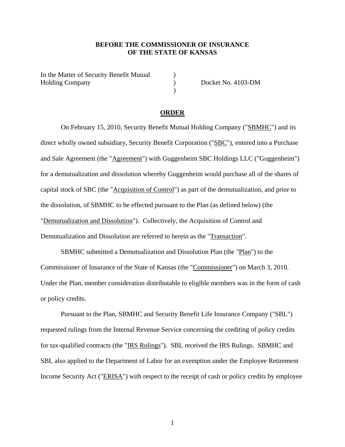## **BEFORE THE COMMISSIONER OF INSURANCE OF THE STATE OF KANSAS**

)  $\mathcal{L}$  $\overline{)}$ 

In the Matter of Security Benefit Mutual Holding Company

Docket No. 4103-DM

### **ORDER**

On February 15, 2010, Security Benefit Mutual Holding Company ("SBMHC") and its direct wholly owned subsidiary, Security Benefit Corporation ("SBC"), entered into a Purchase and Sale Agreement (the "Agreement") with Guggenheim SBC Holdings LLC ("Guggenheim") for a demutualization and dissolution whereby Guggenheim would purchase all of the shares of capital stock of SBC (the "Acquisition of Control") as part of the demutualization, and prior to the dissolution, of SBMHC to be effected pursuant to the Plan (as defined below) (the "Demutualization and Dissolution"). Collectively, the Acquisition of Control and Demutualization and Dissolution are referred to herein as the "Transaction".

SBMHC submitted a Demutualization and Dissolution Plan (the "Plan") to the Commissioner of Insurance of the State of Kansas (the "Commissioner") on March 3, 2010. Under the Plan, member consideration distributable to eligible members was in the form of cash or policy credits.

Pursuant to the Plan, SBMHC and Security Benefit Life Insurance Company ("SBL") requested rulings from the Internal Revenue Service concerning the crediting of policy credits for tax-qualified contracts (the "IRS Rulings"). SBL received the IRS Rulings. SBMHC and SBL also applied to the Department of Labor for an exemption under the Employee Retirement Income Security Act ("ERISA") with respect to the receipt of cash or policy credits by employee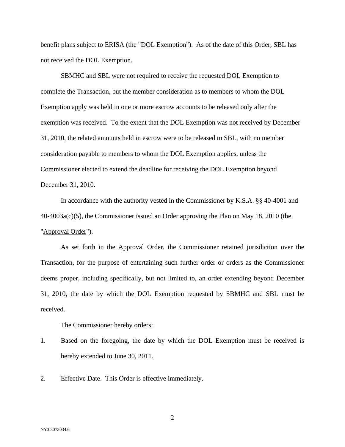benefit plans subject to ERISA (the "DOL Exemption"). As of the date of this Order, SBL has not received the DOL Exemption.

SBMHC and SBL were not required to receive the requested DOL Exemption to complete the Transaction, but the member consideration as to members to whom the DOL Exemption apply was held in one or more escrow accounts to be released only after the exemption was received. To the extent that the DOL Exemption was not received by December 31, 2010, the related amounts held in escrow were to be released to SBL, with no member consideration payable to members to whom the DOL Exemption applies, unless the Commissioner elected to extend the deadline for receiving the DOL Exemption beyond December 31, 2010.

In accordance with the authority vested in the Commissioner by K.S.A. §§ 40-4001 and 40-4003a(c)(5), the Commissioner issued an Order approving the Plan on May 18, 2010 (the "Approval Order").

As set forth in the Approval Order, the Commissioner retained jurisdiction over the Transaction, for the purpose of entertaining such further order or orders as the Commissioner deems proper, including specifically, but not limited to, an order extending beyond December 31, 2010, the date by which the DOL Exemption requested by SBMHC and SBL must be received.

The Commissioner hereby orders:

- 1. Based on the foregoing, the date by which the DOL Exemption must be received is hereby extended to June 30, 2011.
- 2. Effective Date. This Order is effective immediately.

2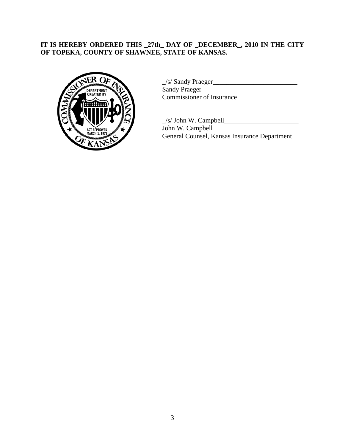# **IT IS HEREBY ORDERED THIS \_27th\_ DAY OF \_DECEMBER\_, 2010 IN THE CITY OF TOPEKA, COUNTY OF SHAWNEE, STATE OF KANSAS.**



\_/s/ Sandy Praeger\_\_\_\_\_\_\_\_\_\_\_\_\_\_\_\_\_\_\_\_\_\_\_\_\_ Sandy Praeger Commissioner of Insurance

 $\angle$ s/ John W. Campbell $\angle$ John W. Campbell General Counsel, Kansas Insurance Department